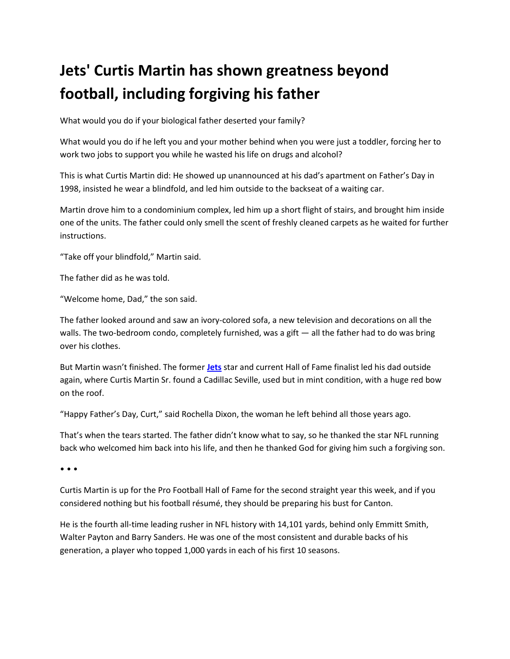## **Jets' Curtis Martin has shown greatness beyond football, including forgiving his father**

What would you do if your biological father deserted your family?

What would you do if he left you and your mother behind when you were just a toddler, forcing her to work two jobs to support you while he wasted his life on drugs and alcohol?

This is what Curtis Martin did: He showed up unannounced at his dad's apartment on Father's Day in 1998, insisted he wear a blindfold, and led him outside to the backseat of a waiting car.

Martin drove him to a condominium complex, led him up a short flight of stairs, and brought him inside one of the units. The father could only smell the scent of freshly cleaned carpets as he waited for further instructions.

"Take off your blindfold," Martin said.

The father did as he was told.

"Welcome home, Dad," the son said.

The father looked around and saw an ivory-colored sofa, a new television and decorations on all the walls. The two-bedroom condo, completely furnished, was a gift — all the father had to do was bring over his clothes.

But Martin wasn't finished. The former **[Jets](http://www.nj.com/jets/)** star and current Hall of Fame finalist led his dad outside again, where Curtis Martin Sr. found a Cadillac Seville, used but in mint condition, with a huge red bow on the roof.

"Happy Father's Day, Curt," said Rochella Dixon, the woman he left behind all those years ago.

That's when the tears started. The father didn't know what to say, so he thanked the star NFL running back who welcomed him back into his life, and then he thanked God for giving him such a forgiving son.

• • •

Curtis Martin is up for the Pro Football Hall of Fame for the second straight year this week, and if you considered nothing but his football résumé, they should be preparing his bust for Canton.

He is the fourth all-time leading rusher in NFL history with 14,101 yards, behind only Emmitt Smith, Walter Payton and Barry Sanders. He was one of the most consistent and durable backs of his generation, a player who topped 1,000 yards in each of his first 10 seasons.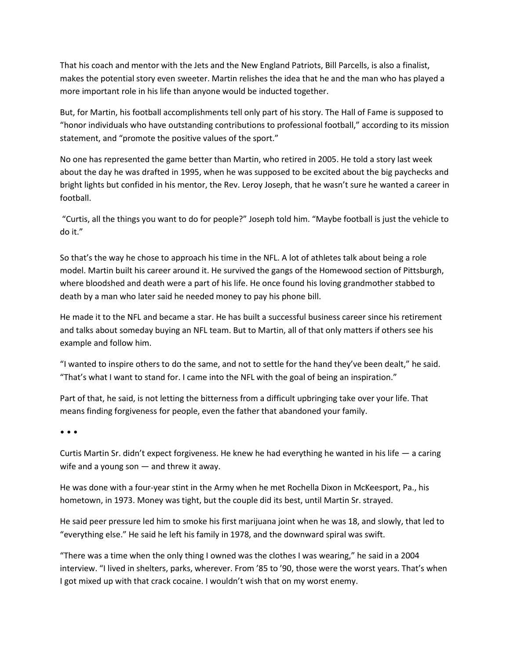That his coach and mentor with the Jets and the New England Patriots, Bill Parcells, is also a finalist, makes the potential story even sweeter. Martin relishes the idea that he and the man who has played a more important role in his life than anyone would be inducted together.

But, for Martin, his football accomplishments tell only part of his story. The Hall of Fame is supposed to "honor individuals who have outstanding contributions to professional football," according to its mission statement, and "promote the positive values of the sport."

No one has represented the game better than Martin, who retired in 2005. He told a story last week about the day he was drafted in 1995, when he was supposed to be excited about the big paychecks and bright lights but confided in his mentor, the Rev. Leroy Joseph, that he wasn't sure he wanted a career in football.

"Curtis, all the things you want to do for people?" Joseph told him. "Maybe football is just the vehicle to do it."

So that's the way he chose to approach his time in the NFL. A lot of athletes talk about being a role model. Martin built his career around it. He survived the gangs of the Homewood section of Pittsburgh, where bloodshed and death were a part of his life. He once found his loving grandmother stabbed to death by a man who later said he needed money to pay his phone bill.

He made it to the NFL and became a star. He has built a successful business career since his retirement and talks about someday buying an NFL team. But to Martin, all of that only matters if others see his example and follow him.

"I wanted to inspire others to do the same, and not to settle for the hand they've been dealt," he said. "That's what I want to stand for. I came into the NFL with the goal of being an inspiration."

Part of that, he said, is not letting the bitterness from a difficult upbringing take over your life. That means finding forgiveness for people, even the father that abandoned your family.

• • •

Curtis Martin Sr. didn't expect forgiveness. He knew he had everything he wanted in his life  $-$  a caring wife and a young son — and threw it away.

He was done with a four-year stint in the Army when he met Rochella Dixon in McKeesport, Pa., his hometown, in 1973. Money was tight, but the couple did its best, until Martin Sr. strayed.

He said peer pressure led him to smoke his first marijuana joint when he was 18, and slowly, that led to "everything else." He said he left his family in 1978, and the downward spiral was swift.

"There was a time when the only thing I owned was the clothes I was wearing," he said in a 2004 interview. "I lived in shelters, parks, wherever. From '85 to '90, those were the worst years. That's when I got mixed up with that crack cocaine. I wouldn't wish that on my worst enemy.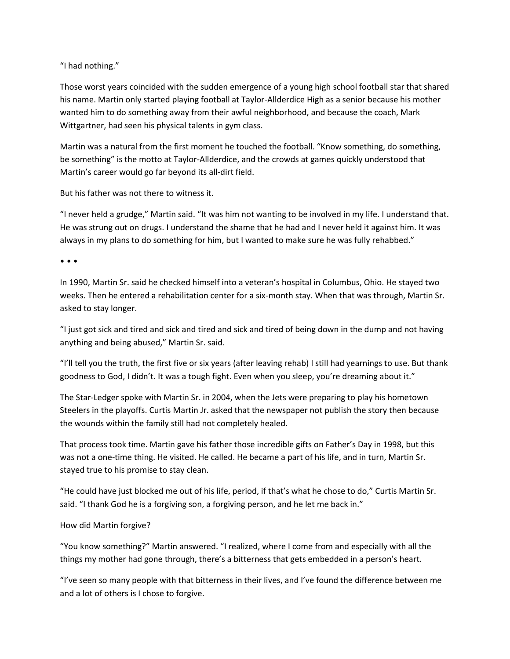"I had nothing."

Those worst years coincided with the sudden emergence of a young high school football star that shared his name. Martin only started playing football at Taylor-Allderdice High as a senior because his mother wanted him to do something away from their awful neighborhood, and because the coach, Mark Wittgartner, had seen his physical talents in gym class.

Martin was a natural from the first moment he touched the football. "Know something, do something, be something" is the motto at Taylor-Allderdice, and the crowds at games quickly understood that Martin's career would go far beyond its all-dirt field.

But his father was not there to witness it.

"I never held a grudge," Martin said. "It was him not wanting to be involved in my life. I understand that. He was strung out on drugs. I understand the shame that he had and I never held it against him. It was always in my plans to do something for him, but I wanted to make sure he was fully rehabbed."

• • •

In 1990, Martin Sr. said he checked himself into a veteran's hospital in Columbus, Ohio. He stayed two weeks. Then he entered a rehabilitation center for a six-month stay. When that was through, Martin Sr. asked to stay longer.

"I just got sick and tired and sick and tired and sick and tired of being down in the dump and not having anything and being abused," Martin Sr. said.

"I'll tell you the truth, the first five or six years (after leaving rehab) I still had yearnings to use. But thank goodness to God, I didn't. It was a tough fight. Even when you sleep, you're dreaming about it."

The Star-Ledger spoke with Martin Sr. in 2004, when the Jets were preparing to play his hometown Steelers in the playoffs. Curtis Martin Jr. asked that the newspaper not publish the story then because the wounds within the family still had not completely healed.

That process took time. Martin gave his father those incredible gifts on Father's Day in 1998, but this was not a one-time thing. He visited. He called. He became a part of his life, and in turn, Martin Sr. stayed true to his promise to stay clean.

"He could have just blocked me out of his life, period, if that's what he chose to do," Curtis Martin Sr. said. "I thank God he is a forgiving son, a forgiving person, and he let me back in."

## How did Martin forgive?

"You know something?" Martin answered. "I realized, where I come from and especially with all the things my mother had gone through, there's a bitterness that gets embedded in a person's heart.

"I've seen so many people with that bitterness in their lives, and I've found the difference between me and a lot of others is I chose to forgive.